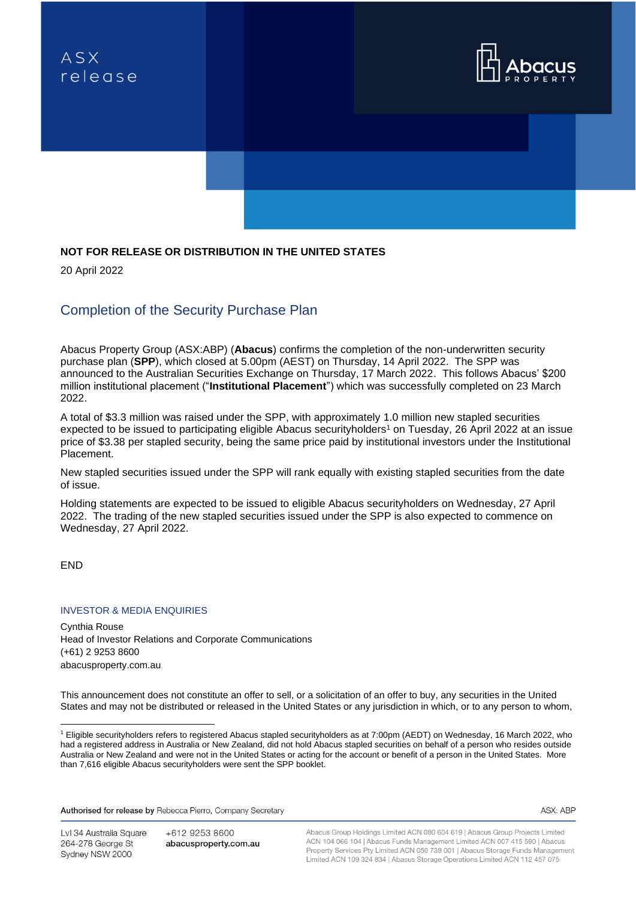# $ASX$ relegse



### **NOT FOR RELEASE OR DISTRIBUTION IN THE UNITED STATES**

20 April 2022

## Completion of the Security Purchase Plan

Abacus Property Group (ASX:ABP) (**Abacus**) confirms the completion of the non-underwritten security purchase plan (**SPP**), which closed at 5.00pm (AEST) on Thursday, 14 April 2022. The SPP was announced to the Australian Securities Exchange on Thursday, 17 March 2022. This follows Abacus' \$200 million institutional placement ("**Institutional Placement**") which was successfully completed on 23 March 2022.

A total of \$3.3 million was raised under the SPP, with approximately 1.0 million new stapled securities expected to be issued to participating eligible Abacus securityholders<sup>1</sup> on Tuesday, 26 April 2022 at an issue price of \$3.38 per stapled security, being the same price paid by institutional investors under the Institutional Placement.

New stapled securities issued under the SPP will rank equally with existing stapled securities from the date of issue.

Holding statements are expected to be issued to eligible Abacus securityholders on Wednesday, 27 April 2022. The trading of the new stapled securities issued under the SPP is also expected to commence on Wednesday, 27 April 2022.

END

### INVESTOR & MEDIA ENQUIRIES

Cynthia Rouse Head of Investor Relations and Corporate Communications (+61) 2 9253 8600 abacusproperty.com.au

This announcement does not constitute an offer to sell, or a solicitation of an offer to buy, any securities in the United States and may not be distributed or released in the United States or any jurisdiction in which, or to any person to whom,

Authorised for release by Rebecca Pierro, Company Secretary

Lvl 34 Australia Square 264-278 George St Sydney NSW 2000

+612 9253 8600 abacusproperty.com.au Abacus Group Holdings Limited ACN 080 604 619 | Abacus Group Projects Limited ACN 104 066 104 | Abacus Funds Management Limited ACN 007 415 590 | Abacus Property Services Pty Limited ACN 050 739 001 | Abacus Storage Funds Management Limited ACN 109 324 834 | Abacus Storage Operations Limited ACN 112 457 075

ASX: ABP

<sup>1</sup> Eligible securityholders refers to registered Abacus stapled securityholders as at 7:00pm (AEDT) on Wednesday, 16 March 2022, who had a registered address in Australia or New Zealand, did not hold Abacus stapled securities on behalf of a person who resides outside Australia or New Zealand and were not in the United States or acting for the account or benefit of a person in the United States. More than 7,616 eligible Abacus securityholders were sent the SPP booklet.